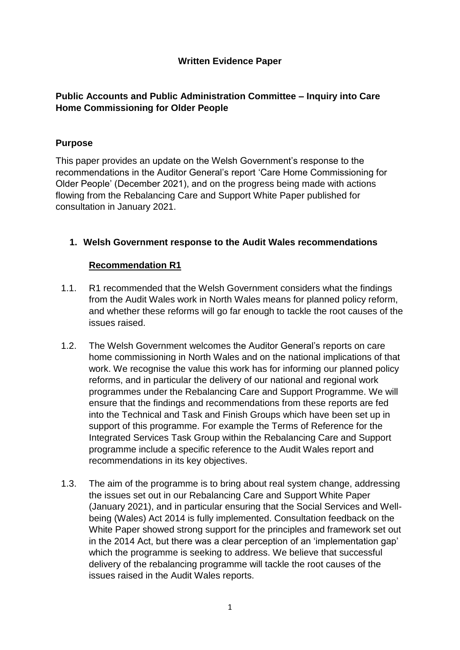# **Written Evidence Paper**

# **Public Accounts and Public Administration Committee – Inquiry into Care Home Commissioning for Older People**

# **Purpose**

This paper provides an update on the Welsh Government's response to the recommendations in the Auditor General's report 'Care Home Commissioning for Older People' (December 2021), and on the progress being made with actions flowing from the Rebalancing Care and Support White Paper published for consultation in January 2021.

# **1. Welsh Government response to the Audit Wales recommendations**

# **Recommendation R1**

- 1.1. R1 recommended that the Welsh Government considers what the findings from the Audit Wales work in North Wales means for planned policy reform, and whether these reforms will go far enough to tackle the root causes of the issues raised.
- 1.2. The Welsh Government welcomes the Auditor General's reports on care home commissioning in North Wales and on the national implications of that work. We recognise the value this work has for informing our planned policy reforms, and in particular the delivery of our national and regional work programmes under the Rebalancing Care and Support Programme. We will ensure that the findings and recommendations from these reports are fed into the Technical and Task and Finish Groups which have been set up in support of this programme. For example the Terms of Reference for the Integrated Services Task Group within the Rebalancing Care and Support programme include a specific reference to the Audit Wales report and recommendations in its key objectives.
- 1.3. The aim of the programme is to bring about real system change, addressing the issues set out in our Rebalancing Care and Support White Paper (January 2021), and in particular ensuring that the Social Services and Wellbeing (Wales) Act 2014 is fully implemented. Consultation feedback on the White Paper showed strong support for the principles and framework set out in the 2014 Act, but there was a clear perception of an 'implementation gap' which the programme is seeking to address. We believe that successful delivery of the rebalancing programme will tackle the root causes of the issues raised in the Audit Wales reports.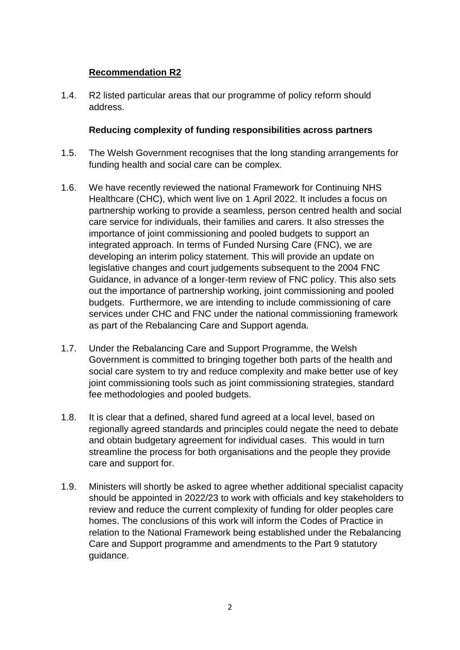# **Recommendation R2**

1.4. R2 listed particular areas that our programme of policy reform should address.

#### **Reducing complexity of funding responsibilities across partners**

- 1.5. The Welsh Government recognises that the long standing arrangements for funding health and social care can be complex.
- 1.6. We have recently reviewed the national Framework for Continuing NHS Healthcare (CHC), which went live on 1 April 2022. It includes a focus on partnership working to provide a seamless, person centred health and social care service for individuals, their families and carers. It also stresses the importance of joint commissioning and pooled budgets to support an integrated approach. In terms of Funded Nursing Care (FNC), we are developing an interim policy statement. This will provide an update on legislative changes and court judgements subsequent to the 2004 FNC Guidance, in advance of a longer-term review of FNC policy. This also sets out the importance of partnership working, joint commissioning and pooled budgets. Furthermore, we are intending to include commissioning of care services under CHC and FNC under the national commissioning framework as part of the Rebalancing Care and Support agenda.
- 1.7. Under the Rebalancing Care and Support Programme, the Welsh Government is committed to bringing together both parts of the health and social care system to try and reduce complexity and make better use of key joint commissioning tools such as joint commissioning strategies, standard fee methodologies and pooled budgets.
- 1.8. It is clear that a defined, shared fund agreed at a local level, based on regionally agreed standards and principles could negate the need to debate and obtain budgetary agreement for individual cases. This would in turn streamline the process for both organisations and the people they provide care and support for.
- 1.9. Ministers will shortly be asked to agree whether additional specialist capacity should be appointed in 2022/23 to work with officials and key stakeholders to review and reduce the current complexity of funding for older peoples care homes. The conclusions of this work will inform the Codes of Practice in relation to the National Framework being established under the Rebalancing Care and Support programme and amendments to the Part 9 statutory guidance.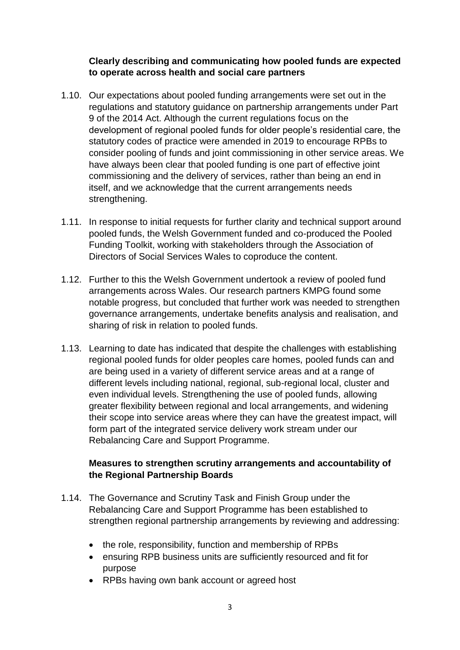## **Clearly describing and communicating how pooled funds are expected to operate across health and social care partners**

- 1.10. Our expectations about pooled funding arrangements were set out in the regulations and statutory guidance on partnership arrangements under Part 9 of the 2014 Act. Although the current regulations focus on the development of regional pooled funds for older people's residential care, the statutory codes of practice were amended in 2019 to encourage RPBs to consider pooling of funds and joint commissioning in other service areas. We have always been clear that pooled funding is one part of effective joint commissioning and the delivery of services, rather than being an end in itself, and we acknowledge that the current arrangements needs strengthening.
- 1.11. In response to initial requests for further clarity and technical support around pooled funds, the Welsh Government funded and co-produced the Pooled Funding Toolkit, working with stakeholders through the Association of Directors of Social Services Wales to coproduce the content.
- 1.12. Further to this the Welsh Government undertook a review of pooled fund arrangements across Wales. Our research partners KMPG found some notable progress, but concluded that further work was needed to strengthen governance arrangements, undertake benefits analysis and realisation, and sharing of risk in relation to pooled funds.
- 1.13. Learning to date has indicated that despite the challenges with establishing regional pooled funds for older peoples care homes, pooled funds can and are being used in a variety of different service areas and at a range of different levels including national, regional, sub-regional local, cluster and even individual levels. Strengthening the use of pooled funds, allowing greater flexibility between regional and local arrangements, and widening their scope into service areas where they can have the greatest impact, will form part of the integrated service delivery work stream under our Rebalancing Care and Support Programme.

### **Measures to strengthen scrutiny arrangements and accountability of the Regional Partnership Boards**

- 1.14. The Governance and Scrutiny Task and Finish Group under the Rebalancing Care and Support Programme has been established to strengthen regional partnership arrangements by reviewing and addressing:
	- the role, responsibility, function and membership of RPBs
	- ensuring RPB business units are sufficiently resourced and fit for purpose
	- RPBs having own bank account or agreed host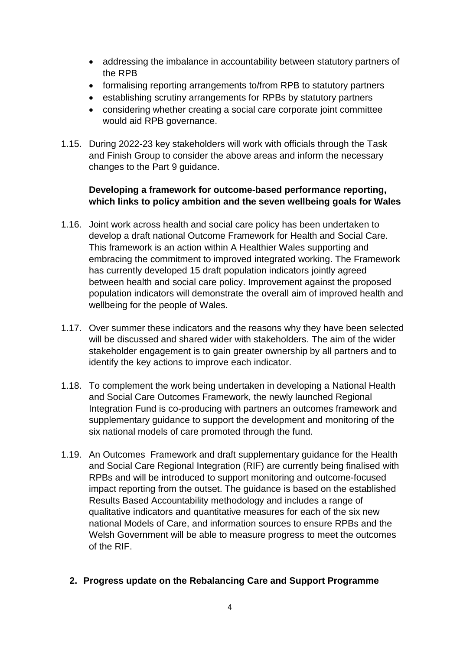- addressing the imbalance in accountability between statutory partners of the RPB
- formalising reporting arrangements to/from RPB to statutory partners
- establishing scrutiny arrangements for RPBs by statutory partners
- considering whether creating a social care corporate joint committee would aid RPB governance.
- 1.15. During 2022-23 key stakeholders will work with officials through the Task and Finish Group to consider the above areas and inform the necessary changes to the Part 9 guidance.

# **Developing a framework for outcome-based performance reporting, which links to policy ambition and the seven wellbeing goals for Wales**

- 1.16. Joint work across health and social care policy has been undertaken to develop a draft national Outcome Framework for Health and Social Care. This framework is an action within A Healthier Wales supporting and embracing the commitment to improved integrated working. The Framework has currently developed 15 draft population indicators jointly agreed between health and social care policy. Improvement against the proposed population indicators will demonstrate the overall aim of improved health and wellbeing for the people of Wales.
- 1.17. Over summer these indicators and the reasons why they have been selected will be discussed and shared wider with stakeholders. The aim of the wider stakeholder engagement is to gain greater ownership by all partners and to identify the key actions to improve each indicator.
- 1.18. To complement the work being undertaken in developing a National Health and Social Care Outcomes Framework, the newly launched Regional Integration Fund is co-producing with partners an outcomes framework and supplementary guidance to support the development and monitoring of the six national models of care promoted through the fund.
- 1.19. An Outcomes Framework and draft supplementary guidance for the Health and Social Care Regional Integration (RIF) are currently being finalised with RPBs and will be introduced to support monitoring and outcome-focused impact reporting from the outset. The guidance is based on the established Results Based Accountability methodology and includes a range of qualitative indicators and quantitative measures for each of the six new national Models of Care, and information sources to ensure RPBs and the Welsh Government will be able to measure progress to meet the outcomes of the RIF.
	- **2. Progress update on the Rebalancing Care and Support Programme**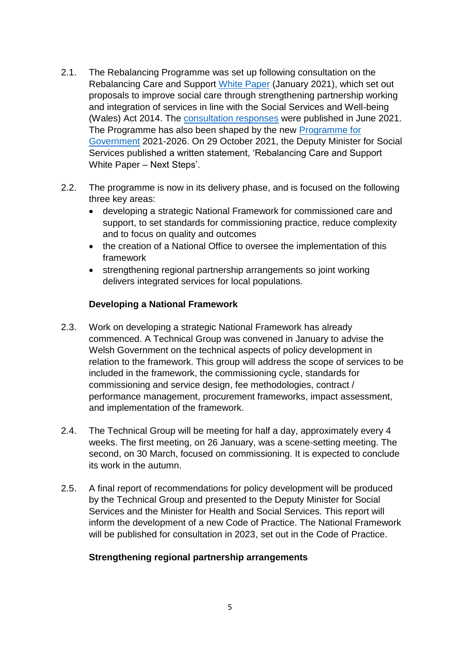- 2.1. The Rebalancing Programme was set up following consultation on the Rebalancing Care and Support [White Paper](https://gov.wales/sites/default/files/consultations/2021-01/consutation-document.pdf) (January 2021), which set out proposals to improve social care through strengthening partnership working and integration of services in line with the Social Services and Well-being (Wales) Act 2014. The [consultation responses](https://gov.wales/sites/default/files/consultations/2021-06/summary-of-responses_2.pdf) were published in June 2021. The Programme has also been shaped by the new [Programme for](https://gov.wales/programme-government)  [Government](https://gov.wales/programme-government) 2021-2026. On 29 October 2021, the Deputy Minister for Social Services published a written statement, 'Rebalancing Care and Support White Paper – Next Steps'.
- 2.2. The programme is now in its delivery phase, and is focused on the following three key areas:
	- developing a strategic National Framework for commissioned care and support, to set standards for commissioning practice, reduce complexity and to focus on quality and outcomes
	- the creation of a National Office to oversee the implementation of this framework
	- strengthening regional partnership arrangements so joint working delivers integrated services for local populations.

# **Developing a National Framework**

- 2.3. Work on developing a strategic National Framework has already commenced. A Technical Group was convened in January to advise the Welsh Government on the technical aspects of policy development in relation to the framework. This group will address the scope of services to be included in the framework, the commissioning cycle, standards for commissioning and service design, fee methodologies, contract / performance management, procurement frameworks, impact assessment, and implementation of the framework.
- 2.4. The Technical Group will be meeting for half a day, approximately every 4 weeks. The first meeting, on 26 January, was a scene-setting meeting. The second, on 30 March, focused on commissioning. It is expected to conclude its work in the autumn.
- 2.5. A final report of recommendations for policy development will be produced by the Technical Group and presented to the Deputy Minister for Social Services and the Minister for Health and Social Services. This report will inform the development of a new Code of Practice. The National Framework will be published for consultation in 2023, set out in the Code of Practice.

# **Strengthening regional partnership arrangements**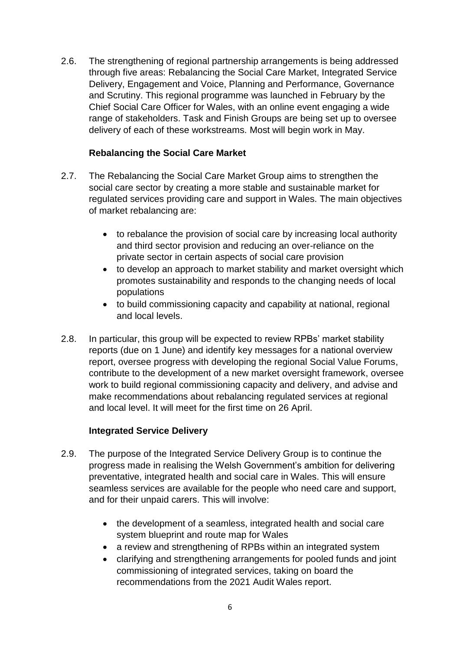2.6. The strengthening of regional partnership arrangements is being addressed through five areas: Rebalancing the Social Care Market, Integrated Service Delivery, Engagement and Voice, Planning and Performance, Governance and Scrutiny. This regional programme was launched in February by the Chief Social Care Officer for Wales, with an online event engaging a wide range of stakeholders. Task and Finish Groups are being set up to oversee delivery of each of these workstreams. Most will begin work in May.

# **Rebalancing the Social Care Market**

- 2.7. The Rebalancing the Social Care Market Group aims to strengthen the social care sector by creating a more stable and sustainable market for regulated services providing care and support in Wales. The main objectives of market rebalancing are:
	- to rebalance the provision of social care by increasing local authority and third sector provision and reducing an over-reliance on the private sector in certain aspects of social care provision
	- to develop an approach to market stability and market oversight which promotes sustainability and responds to the changing needs of local populations
	- to build commissioning capacity and capability at national, regional and local levels.
- 2.8. In particular, this group will be expected to review RPBs' market stability reports (due on 1 June) and identify key messages for a national overview report, oversee progress with developing the regional Social Value Forums, contribute to the development of a new market oversight framework, oversee work to build regional commissioning capacity and delivery, and advise and make recommendations about rebalancing regulated services at regional and local level. It will meet for the first time on 26 April.

# **Integrated Service Delivery**

- 2.9. The purpose of the Integrated Service Delivery Group is to continue the progress made in realising the Welsh Government's ambition for delivering preventative, integrated health and social care in Wales. This will ensure seamless services are available for the people who need care and support, and for their unpaid carers. This will involve:
	- the development of a seamless, integrated health and social care system blueprint and route map for Wales
	- a review and strengthening of RPBs within an integrated system
	- clarifying and strengthening arrangements for pooled funds and joint commissioning of integrated services, taking on board the recommendations from the 2021 Audit Wales report.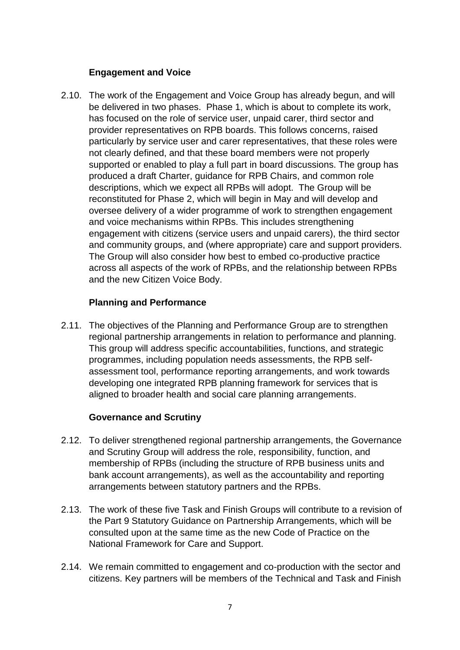## **Engagement and Voice**

2.10. The work of the Engagement and Voice Group has already begun, and will be delivered in two phases. Phase 1, which is about to complete its work, has focused on the role of service user, unpaid carer, third sector and provider representatives on RPB boards. This follows concerns, raised particularly by service user and carer representatives, that these roles were not clearly defined, and that these board members were not properly supported or enabled to play a full part in board discussions. The group has produced a draft Charter, guidance for RPB Chairs, and common role descriptions, which we expect all RPBs will adopt. The Group will be reconstituted for Phase 2, which will begin in May and will develop and oversee delivery of a wider programme of work to strengthen engagement and voice mechanisms within RPBs. This includes strengthening engagement with citizens (service users and unpaid carers), the third sector and community groups, and (where appropriate) care and support providers. The Group will also consider how best to embed co-productive practice across all aspects of the work of RPBs, and the relationship between RPBs and the new Citizen Voice Body.

#### **Planning and Performance**

2.11. The objectives of the Planning and Performance Group are to strengthen regional partnership arrangements in relation to performance and planning. This group will address specific accountabilities, functions, and strategic programmes, including population needs assessments, the RPB selfassessment tool, performance reporting arrangements, and work towards developing one integrated RPB planning framework for services that is aligned to broader health and social care planning arrangements.

#### **Governance and Scrutiny**

- 2.12. To deliver strengthened regional partnership arrangements, the Governance and Scrutiny Group will address the role, responsibility, function, and membership of RPBs (including the structure of RPB business units and bank account arrangements), as well as the accountability and reporting arrangements between statutory partners and the RPBs.
- 2.13. The work of these five Task and Finish Groups will contribute to a revision of the Part 9 Statutory Guidance on Partnership Arrangements, which will be consulted upon at the same time as the new Code of Practice on the National Framework for Care and Support.
- 2.14. We remain committed to engagement and co-production with the sector and citizens. Key partners will be members of the Technical and Task and Finish